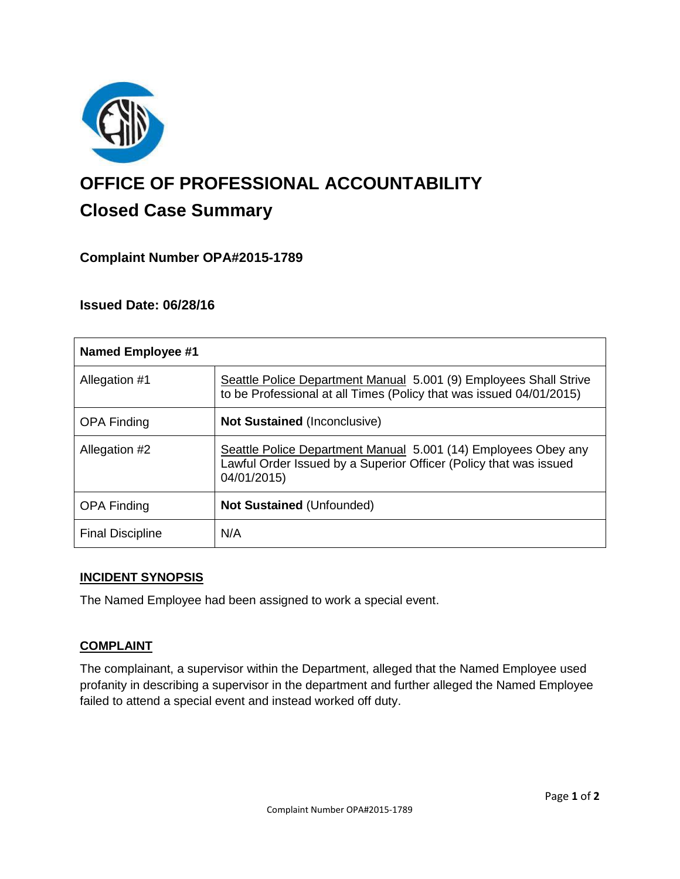

# **OFFICE OF PROFESSIONAL ACCOUNTABILITY Closed Case Summary**

# **Complaint Number OPA#2015-1789**

# **Issued Date: 06/28/16**

| <b>Named Employee #1</b> |                                                                                                                                                    |
|--------------------------|----------------------------------------------------------------------------------------------------------------------------------------------------|
| Allegation #1            | Seattle Police Department Manual 5.001 (9) Employees Shall Strive<br>to be Professional at all Times (Policy that was issued 04/01/2015)           |
| <b>OPA Finding</b>       | <b>Not Sustained (Inconclusive)</b>                                                                                                                |
| Allegation #2            | Seattle Police Department Manual 5.001 (14) Employees Obey any<br>Lawful Order Issued by a Superior Officer (Policy that was issued<br>04/01/2015) |
| <b>OPA Finding</b>       | <b>Not Sustained (Unfounded)</b>                                                                                                                   |
| <b>Final Discipline</b>  | N/A                                                                                                                                                |

## **INCIDENT SYNOPSIS**

The Named Employee had been assigned to work a special event.

## **COMPLAINT**

The complainant, a supervisor within the Department, alleged that the Named Employee used profanity in describing a supervisor in the department and further alleged the Named Employee failed to attend a special event and instead worked off duty.